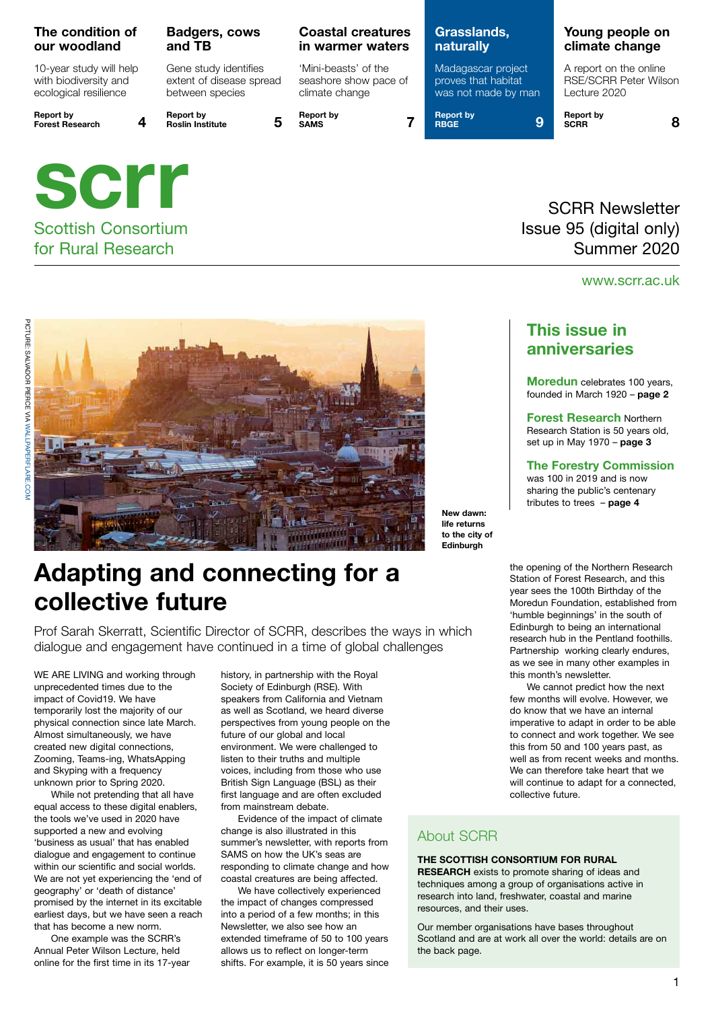#### **The condition of our woodland**

10-year study will help with biodiversity and ecological resilience

Scottish Consortium for Rural Research

**Report by Forest Research 4**



### **Badgers, cows and TB**

Gene study identifies extent of disease spread between species

**Report by** 

**Report by SAMS 7**

**Coastal creatures in warmer waters**

'Mini-beasts' of the seashore show pace of climate change

### **Grasslands, naturally**

Madagascar project proves that habitat was not made by man

**Report by RBGE 9**  **Report by SCRR 8**

### SCRR Newsletter Issue 95 (digital only) Summer 2020

### www.scrr.ac.uk



**New dawn: life returns to the city of Edinburgh**

# **Adapting and connecting for a collective future**

Prof Sarah Skerratt, Scientific Director of SCRR, describes the ways in which dialogue and engagement have continued in a time of global challenges

WE ARE LIVING and working through unprecedented times due to the impact of Covid19. We have temporarily lost the majority of our physical connection since late March. Almost simultaneously, we have created new digital connections, Zooming, Teams-ing, WhatsApping and Skyping with a frequency unknown prior to Spring 2020.

While not pretending that all have equal access to these digital enablers, the tools we've used in 2020 have supported a new and evolving 'business as usual' that has enabled dialogue and engagement to continue within our scientific and social worlds. We are not yet experiencing the 'end of geography' or 'death of distance' promised by the internet in its excitable earliest days, but we have seen a reach that has become a new norm.

One example was the SCRR's Annual Peter Wilson Lecture, held online for the first time in its 17-year history, in partnership with the Royal Society of Edinburgh (RSE). With speakers from California and Vietnam as well as Scotland, we heard diverse perspectives from young people on the future of our global and local environment. We were challenged to listen to their truths and multiple voices, including from those who use British Sign Language (BSL) as their first language and are often excluded from mainstream debate.

Evidence of the impact of climate change is also illustrated in this summer's newsletter, with reports from SAMS on how the UK's seas are responding to climate change and how coastal creatures are being affected.

We have collectively experienced the impact of changes compressed into a period of a few months; in this Newsletter, we also see how an extended timeframe of 50 to 100 years allows us to reflect on longer-term shifts. For example, it is 50 years since

### **This issue in anniversaries**

**Moredun** celebrates 100 years, founded in March 1920 – **page 2**

**Forest Research** Northern Research Station is 50 years old, set up in May 1970 – **page 3**

#### **The Forestry Commission**

was 100 in 2019 and is now sharing the public's centenary tributes to trees – **page 4**

the opening of the Northern Research Station of Forest Research, and this year sees the 100th Birthday of the Moredun Foundation, established from 'humble beginnings' in the south of Edinburgh to being an international research hub in the Pentland foothills. Partnership working clearly endures, as we see in many other examples in this month's newsletter.

We cannot predict how the next few months will evolve. However, we do know that we have an internal imperative to adapt in order to be able to connect and work together. We see this from 50 and 100 years past, as well as from recent weeks and months. We can therefore take heart that we will continue to adapt for a connected, collective future.

### About SCRR

#### **THE SCOTTISH CONSORTIUM FOR RURAL**

**RESEARCH** exists to promote sharing of ideas and techniques among a group of organisations active in research into land, freshwater, coastal and marine resources, and their uses.

Our member organisations have bases throughout Scotland and are at work all over the world: details are on the back page.

#### A report on the online RSE/SCRR Peter Wilson Lecture 2020

**Young people on climate change**

1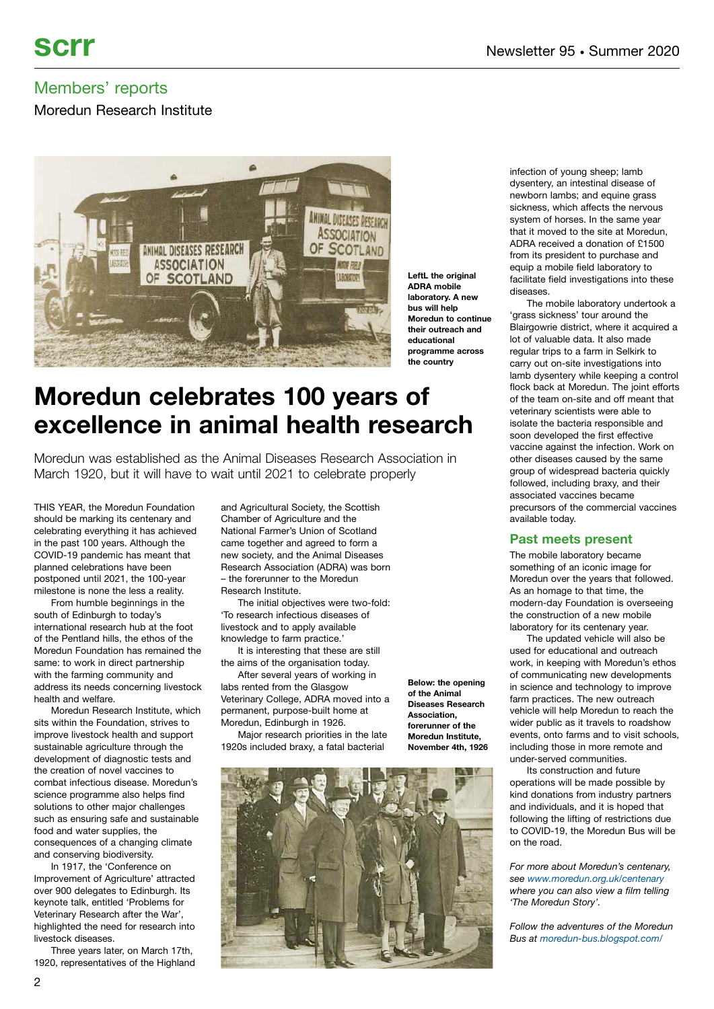Moredun Research Institute



**LeftL the original ADRA mobile laboratory. A new bus will help Moredun to continue their outreach and educational programme across the country**

# **Moredun celebrates 100 years of excellence in animal health research**

Moredun was established as the Animal Diseases Research Association in March 1920, but it will have to wait until 2021 to celebrate properly

THIS YEAR, the Moredun Foundation should be marking its centenary and celebrating everything it has achieved in the past 100 years. Although the COVID-19 pandemic has meant that planned celebrations have been postponed until 2021, the 100-year milestone is none the less a reality.

From humble beginnings in the south of Edinburgh to today's international research hub at the foot of the Pentland hills, the ethos of the Moredun Foundation has remained the same: to work in direct partnership with the farming community and address its needs concerning livestock health and welfare.

Moredun Research Institute, which sits within the Foundation, strives to improve livestock health and support sustainable agriculture through the development of diagnostic tests and the creation of novel vaccines to combat infectious disease. Moredun's science programme also helps find solutions to other major challenges such as ensuring safe and sustainable food and water supplies, the consequences of a changing climate and conserving biodiversity.

In 1917, the 'Conference on Improvement of Agriculture' attracted over 900 delegates to Edinburgh. Its keynote talk, entitled 'Problems for Veterinary Research after the War', highlighted the need for research into livestock diseases.

Three years later, on March 17th, 1920, representatives of the Highland and Agricultural Society, the Scottish Chamber of Agriculture and the National Farmer's Union of Scotland came together and agreed to form a new society, and the Animal Diseases Research Association (ADRA) was born – the forerunner to the Moredun Research Institute.

The initial objectives were two-fold: 'To research infectious diseases of livestock and to apply available knowledge to farm practice.'

It is interesting that these are still the aims of the organisation today.

After several years of working in labs rented from the Glasgow Veterinary College, ADRA moved into a permanent, purpose-built home at Moredun, Edinburgh in 1926.

Major research priorities in the late 1920s included braxy, a fatal bacterial

**Below: the opening of the Animal Diseases Research Association, forerunner of the Moredun Institute, November 4th, 1926**



infection of young sheep; lamb dysentery, an intestinal disease of newborn lambs; and equine grass sickness, which affects the nervous system of horses. In the same year that it moved to the site at Moredun, ADRA received a donation of £1500 from its president to purchase and equip a mobile field laboratory to facilitate field investigations into these diseases.

The mobile laboratory undertook a 'grass sickness' tour around the Blairgowrie district, where it acquired a lot of valuable data. It also made regular trips to a farm in Selkirk to carry out on-site investigations into lamb dysentery while keeping a control flock back at Moredun. The joint efforts of the team on-site and off meant that veterinary scientists were able to isolate the bacteria responsible and soon developed the first effective vaccine against the infection. Work on other diseases caused by the same group of widespread bacteria quickly followed, including braxy, and their associated vaccines became precursors of the commercial vaccines available today.

### **Past meets present**

The mobile laboratory became something of an iconic image for Moredun over the years that followed. As an homage to that time, the modern-day Foundation is overseeing the construction of a new mobile laboratory for its centenary year.

The updated vehicle will also be used for educational and outreach work, in keeping with Moredun's ethos of communicating new developments in science and technology to improve farm practices. The new outreach vehicle will help Moredun to reach the wider public as it travels to roadshow events, onto farms and to visit schools, including those in more remote and under-served communities.

Its construction and future operations will be made possible by kind donations from industry partners and individuals, and it is hoped that following the lifting of restrictions due to COVID-19, the Moredun Bus will be on the road.

*For more about Moredun's centenary, see [www.moredun.org.uk/centenary](https://www.moredun.org.uk/centenary%20) where you can also view a film telling 'The Moredun Story'.*

*Follow the adventures of the Moredun Bus at [moredun-bus.blogspot.com/](https://moredun-bus.blogspot.com/)*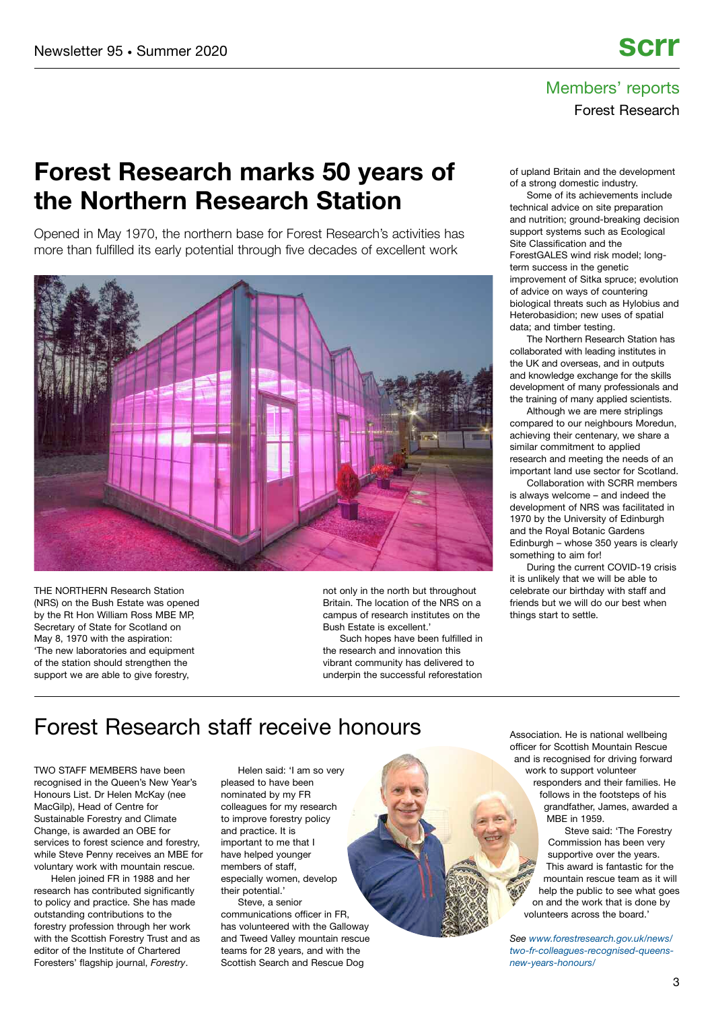### Members' reports Forest Research

## **Forest Research marks 50 years of the Northern Research Station**

Opened in May 1970, the northern base for Forest Research's activities has more than fulfilled its early potential through five decades of excellent work



THE NORTHERN Research Station (NRS) on the Bush Estate was opened by the Rt Hon William Ross MBE MP, Secretary of State for Scotland on May 8, 1970 with the aspiration: 'The new laboratories and equipment of the station should strengthen the support we are able to give forestry,

not only in the north but throughout Britain. The location of the NRS on a campus of research institutes on the Bush Estate is excellent.'

Such hopes have been fulfilled in the research and innovation this vibrant community has delivered to underpin the successful reforestation of upland Britain and the development of a strong domestic industry.

Some of its achievements include technical advice on site preparation and nutrition; ground-breaking decision support systems such as Ecological Site Classification and the ForestGALES wind risk model; longterm success in the genetic improvement of Sitka spruce; evolution of advice on ways of countering biological threats such as Hylobius and Heterobasidion; new uses of spatial data; and timber testing.

The Northern Research Station has collaborated with leading institutes in the UK and overseas, and in outputs and knowledge exchange for the skills development of many professionals and the training of many applied scientists.

Although we are mere striplings compared to our neighbours Moredun, achieving their centenary, we share a similar commitment to applied research and meeting the needs of an important land use sector for Scotland.

Collaboration with SCRR members is always welcome – and indeed the development of NRS was facilitated in 1970 by the University of Edinburgh and the Royal Botanic Gardens Edinburgh – whose 350 years is clearly something to aim for!

During the current COVID-19 crisis it is unlikely that we will be able to celebrate our birthday with staff and friends but we will do our best when things start to settle.

### Forest Research staff receive honours

TWO STAFF MEMBERS have been recognised in the Queen's New Year's Honours List. Dr Helen McKay (nee MacGilp), Head of Centre for Sustainable Forestry and Climate Change, is awarded an OBE for services to forest science and forestry, while Steve Penny receives an MBE for voluntary work with mountain rescue.

Helen joined FR in 1988 and her research has contributed significantly to policy and practice. She has made outstanding contributions to the forestry profession through her work with the Scottish Forestry Trust and as editor of the Institute of Chartered Foresters' flagship journal, *Forestry*.

Helen said: 'I am so very pleased to have been .<br>nominated by my FR colleagues for my research to improve forestry policy and practice. It is important to me that I have helped younger members of staff. especially women, develop their potential.' Steve, a senior

communications officer in FR, has volunteered with the Galloway and Tweed Valley mountain rescue teams for 28 years, and with the Scottish Search and Rescue Dog

Association. He is national wellbeing officer for Scottish Mountain Rescue and is recognised for driving forward work to support volunteer responders and their families. He follows in the footsteps of his

grandfather, James, awarded a MBE in 1959. Steve said: 'The Forestry

Commission has been very supportive over the years. This award is fantastic for the mountain rescue team as it will help the public to see what goes on and the work that is done by volunteers across the board.'

*See [www.forestresearch.gov.uk/news/](https://www.forestresearch.gov.uk/news/two-fr-colleagues-recognised-queens-new-years-honours/) [two-fr-colleagues-recognised-queens](https://www.forestresearch.gov.uk/news/two-fr-colleagues-recognised-queens-new-years-honours/)[new-years-honours/](https://www.forestresearch.gov.uk/news/two-fr-colleagues-recognised-queens-new-years-honours/)*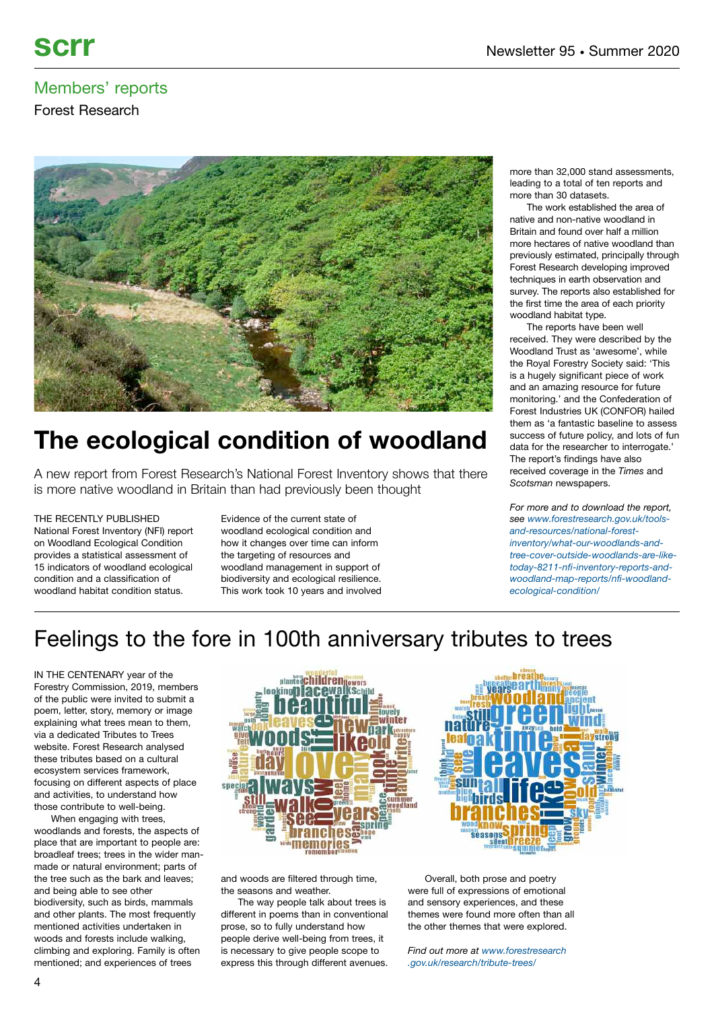Forest Research



# **The ecological condition of woodland**

A new report from Forest Research's National Forest Inventory shows that there is more native woodland in Britain than had previously been thought

THE RECENTLY PUBLISHED National Forest Inventory (NFI) report on Woodland Ecological Condition provides a statistical assessment of 15 indicators of woodland ecological condition and a classification of woodland habitat condition status.

Evidence of the current state of woodland ecological condition and how it changes over time can inform the targeting of resources and woodland management in support of biodiversity and ecological resilience. This work took 10 years and involved more than 32,000 stand assessments, leading to a total of ten reports and more than 30 datasets.

The work established the area of native and non-native woodland in Britain and found over half a million more hectares of native woodland than previously estimated, principally through Forest Research developing improved techniques in earth observation and survey. The reports also established for the first time the area of each priority woodland habitat type.

The reports have been well received. They were described by the Woodland Trust as 'awesome', while the Royal Forestry Society said: 'This is a hugely significant piece of work and an amazing resource for future monitoring.' and the Confederation of Forest Industries UK (CONFOR) hailed them as 'a fantastic baseline to assess success of future policy, and lots of fun data for the researcher to interrogate.' The report's findings have also received coverage in the *Times* and *Scotsman* newspapers.

*For more and to download the report, see [www.forestresearch.gov.uk/tools](https://www.forestresearch.gov.uk/tools-and-resources/national-forest-inventory/what-our-woodlands-and-tree-cover-outside-woodlands-are-like-today-8211-nfi-inventory-reports-and-woodland-map-reports/nfi-woodland-ecological-condition/)[and-resources/national-forest](https://www.forestresearch.gov.uk/tools-and-resources/national-forest-inventory/what-our-woodlands-and-tree-cover-outside-woodlands-are-like-today-8211-nfi-inventory-reports-and-woodland-map-reports/nfi-woodland-ecological-condition/)[inventory/what-our-woodlands-and](https://www.forestresearch.gov.uk/tools-and-resources/national-forest-inventory/what-our-woodlands-and-tree-cover-outside-woodlands-are-like-today-8211-nfi-inventory-reports-and-woodland-map-reports/nfi-woodland-ecological-condition/)[tree-cover-outside-woodlands-are-like](https://www.forestresearch.gov.uk/tools-and-resources/national-forest-inventory/what-our-woodlands-and-tree-cover-outside-woodlands-are-like-today-8211-nfi-inventory-reports-and-woodland-map-reports/nfi-woodland-ecological-condition/)[today-8211-nfi-inventory-reports-and](https://www.forestresearch.gov.uk/tools-and-resources/national-forest-inventory/what-our-woodlands-and-tree-cover-outside-woodlands-are-like-today-8211-nfi-inventory-reports-and-woodland-map-reports/nfi-woodland-ecological-condition/)[woodland-map-reports/nfi-woodland](https://www.forestresearch.gov.uk/tools-and-resources/national-forest-inventory/what-our-woodlands-and-tree-cover-outside-woodlands-are-like-today-8211-nfi-inventory-reports-and-woodland-map-reports/nfi-woodland-ecological-condition/)[ecological-condition/](https://www.forestresearch.gov.uk/tools-and-resources/national-forest-inventory/what-our-woodlands-and-tree-cover-outside-woodlands-are-like-today-8211-nfi-inventory-reports-and-woodland-map-reports/nfi-woodland-ecological-condition/)*

## Feelings to the fore in 100th anniversary tributes to trees

IN THE CENTENARY year of the Forestry Commission, 2019, members of the public were invited to submit a poem, letter, story, memory or image explaining what trees mean to them, via a dedicated Tributes to Trees website. Forest Research analysed these tributes based on a cultural ecosystem services framework, focusing on different aspects of place and activities, to understand how those contribute to well-being.

When engaging with trees, woodlands and forests, the aspects of place that are important to people are: broadleaf trees; trees in the wider manmade or natural environment; parts of the tree such as the bark and leaves; and being able to see other biodiversity, such as birds, mammals and other plants. The most frequently mentioned activities undertaken in woods and forests include walking, climbing and exploring. Family is often mentioned; and experiences of trees



and woods are filtered through time, the seasons and weather.

The way people talk about trees is different in poems than in conventional prose, so to fully understand how people derive well-being from trees, it is necessary to give people scope to express this through different avenues.

Overall, both prose and poetry were full of expressions of emotional and sensory experiences, and these themes were found more often than all the other themes that were explored.

*Find out more at [www.forestresearch](https://www.forestresearch.gov.uk/research/tribute-trees/) [.gov.uk/research/tribute-trees/](https://www.forestresearch.gov.uk/research/tribute-trees/)*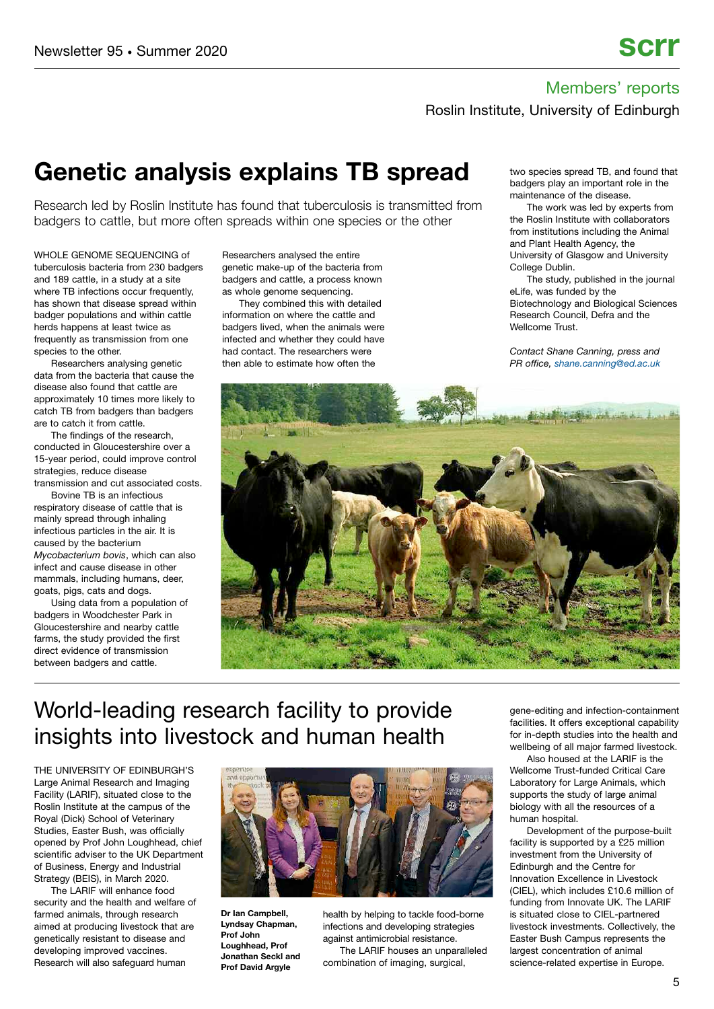Roslin Institute, University of Edinburgh

## **Genetic analysis explains TB spread**

Research led by Roslin Institute has found that tuberculosis is transmitted from badgers to cattle, but more often spreads within one species or the other

WHOLE GENOME SEQUENCING of tuberculosis bacteria from 230 badgers and 189 cattle, in a study at a site where TB infections occur frequently, has shown that disease spread within badger populations and within cattle herds happens at least twice as frequently as transmission from one species to the other.

Researchers analysing genetic data from the bacteria that cause the disease also found that cattle are approximately 10 times more likely to catch TB from badgers than badgers are to catch it from cattle.

The findings of the research, conducted in Gloucestershire over a 15-year period, could improve control strategies, reduce disease

transmission and cut associated costs. Bovine TB is an infectious respiratory disease of cattle that is

mainly spread through inhaling infectious particles in the air. It is caused by the bacterium *Mycobacterium bovis*, which can also infect and cause disease in other mammals, including humans, deer, goats, pigs, cats and dogs.

Using data from a population of badgers in Woodchester Park in Gloucestershire and nearby cattle farms, the study provided the first direct evidence of transmission between badgers and cattle.

Researchers analysed the entire genetic make-up of the bacteria from badgers and cattle, a process known as whole genome sequencing.

They combined this with detailed information on where the cattle and badgers lived, when the animals were infected and whether they could have had contact. The researchers were then able to estimate how often the

two species spread TB, and found that badgers play an important role in the maintenance of the disease.

The work was led by experts from the Roslin Institute with collaborators from institutions including the Animal and Plant Health Agency, the University of Glasgow and University College Dublin.

The study, published in the journal eLife, was funded by the Biotechnology and Biological Sciences Research Council, Defra and the Wellcome Trust.

*Contact Shane Canning, press and PR office, [shane.canning@ed.ac.uk](mailto:shane.canning@ed.ac.uk)*



## World-leading research facility to provide insights into livestock and human health

THE UNIVERSITY OF EDINBURGH'S Large Animal Research and Imaging Facility (LARIF), situated close to the Roslin Institute at the campus of the Royal (Dick) School of Veterinary Studies, Easter Bush, was officially opened by Prof John Loughhead, chief scientific adviser to the UK Department of Business, Energy and Industrial Strategy (BEIS), in March 2020.

The LARIF will enhance food security and the health and welfare of farmed animals, through research aimed at producing livestock that are genetically resistant to disease and developing improved vaccines. Research will also safeguard human



**Dr Ian Campbell, Lyndsay Chapman, Prof John Loughhead, Prof Jonathan Seckl and Prof David Argyle**

health by helping to tackle food-borne infections and developing strategies against antimicrobial resistance. The LARIF houses an unparalleled

combination of imaging, surgical,

gene-editing and infection-containment facilities. It offers exceptional capability for in-depth studies into the health and wellbeing of all major farmed livestock.

Also housed at the LARIF is the Wellcome Trust-funded Critical Care Laboratory for Large Animals, which supports the study of large animal biology with all the resources of a human hospital.

Development of the purpose-built facility is supported by a £25 million investment from the University of Edinburgh and the Centre for Innovation Excellence in Livestock (CIEL), which includes £10.6 million of funding from Innovate UK. The LARIF is situated close to CIEL-partnered livestock investments. Collectively, the Easter Bush Campus represents the largest concentration of animal science-related expertise in Europe.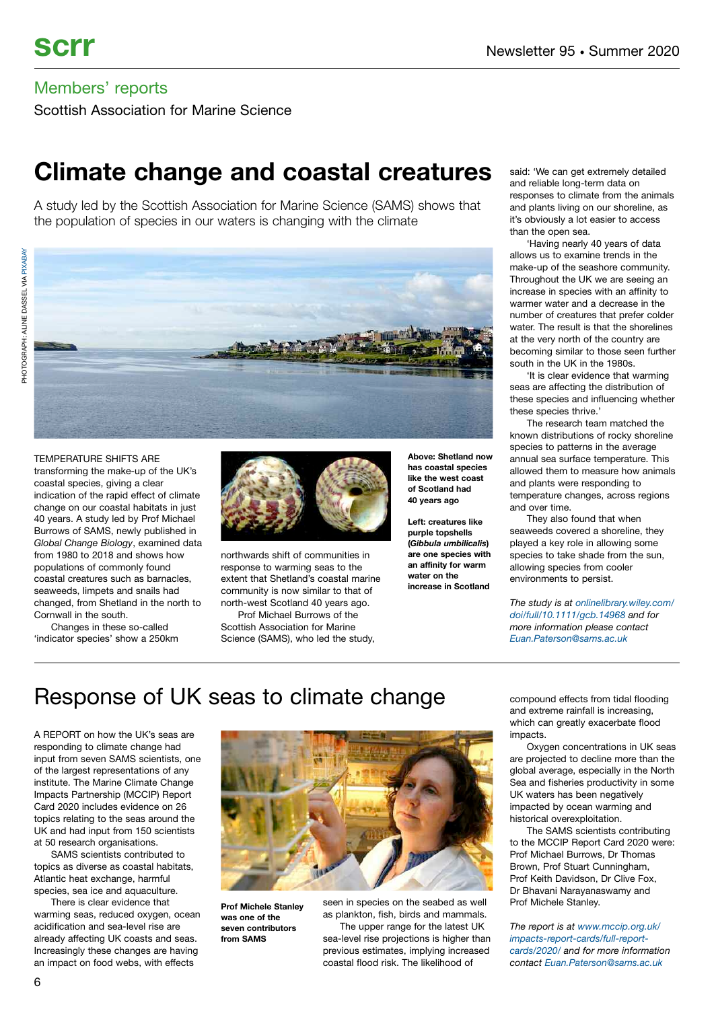Scottish Association for Marine Science

## **Climate change and coastal creatures**

A study led by the Scottish Association for Marine Science (SAMS) shows that the population of species in our waters is changing with the climate



#### TEMPERATURE SHIFTS ARE

transforming the make-up of the UK's coastal species, giving a clear indication of the rapid effect of climate change on our coastal habitats in just 40 years. A study led by Prof Michael Burrows of SAMS, newly published in *Global Change Biology*, examined data from 1980 to 2018 and shows how populations of commonly found coastal creatures such as barnacles, seaweeds, limpets and snails had changed, from Shetland in the north to Cornwall in the south.

Changes in these so-called 'indicator species' show a 250km



northwards shift of communities in response to warming seas to the extent that Shetland's coastal marine community is now similar to that of north-west Scotland 40 years ago.

Prof Michael Burrows of the Scottish Association for Marine Science (SAMS), who led the study,

**Above: Shetland now has coastal species like the west coast of Scotland had 40 years ago**

**Left: creatures like purple topshells (***Gibbula umbilicalis***) are one species with an affinity for warm water on the increase in Scotland**

said: 'We can get extremely detailed and reliable long-term data on responses to climate from the animals and plants living on our shoreline, as it's obviously a lot easier to access than the open sea.

'Having nearly 40 years of data allows us to examine trends in the make-up of the seashore community. Throughout the UK we are seeing an increase in species with an affinity to warmer water and a decrease in the number of creatures that prefer colder water. The result is that the shorelines at the very north of the country are becoming similar to those seen further south in the UK in the 1980s.

'It is clear evidence that warming seas are affecting the distribution of these species and influencing whether these species thrive.'

The research team matched the known distributions of rocky shoreline species to patterns in the average annual sea surface temperature. This allowed them to measure how animals and plants were responding to temperature changes, across regions and over time.

They also found that when seaweeds covered a shoreline, they played a key role in allowing some species to take shade from the sun, allowing species from cooler environments to persist.

*The study is at [onlinelibrary.wiley.com/](https://onlinelibrary.wiley.com/doi/full/10.1111/gcb.14968) [doi/full/10.1111/gcb.14968](https://onlinelibrary.wiley.com/doi/full/10.1111/gcb.14968) and for more information please contact [Euan.Paterson@sams.ac.uk](mailto:Euan.Paterson@sams.ac.uk)*

## Response of UK seas to climate change compound effects from tidal flooding

A REPORT on how the UK's seas are responding to climate change had input from seven SAMS scientists, one of the largest representations of any institute. The Marine Climate Change Impacts Partnership (MCCIP) Report Card 2020 includes evidence on 26 topics relating to the seas around the UK and had input from 150 scientists at 50 research organisations.

SAMS scientists contributed to topics as diverse as coastal habitats, Atlantic heat exchange, harmful species, sea ice and aquaculture.

There is clear evidence that warming seas, reduced oxygen, ocean acidification and sea-level rise are already affecting UK coasts and seas. Increasingly these changes are having an impact on food webs, with effects



**Prof Michele Stanley was one of the seven contributors from SAMS**

seen in species on the seabed as well as plankton, fish, birds and mammals. The upper range for the latest UK

sea-level rise projections is higher than previous estimates, implying increased coastal flood risk. The likelihood of

and extreme rainfall is increasing, which can greatly exacerbate flood impacts.

Oxygen concentrations in UK seas are projected to decline more than the global average, especially in the North Sea and fisheries productivity in some UK waters has been negatively impacted by ocean warming and historical overexploitation.

The SAMS scientists contributing to the MCCIP Report Card 2020 were: Prof Michael Burrows, Dr Thomas Brown, Prof Stuart Cunningham, Prof Keith Davidson, Dr Clive Fox, Dr Bhavani Narayanaswamy and Prof Michele Stanley.

*The report is at [www.mccip.org.uk/](http://www.mccip.org.uk/impacts-report-cards/full-report-cards/2020/) [impacts-report-cards/full-report](http://www.mccip.org.uk/impacts-report-cards/full-report-cards/2020/)[cards/2020/](http://www.mccip.org.uk/impacts-report-cards/full-report-cards/2020/) and for more information contact [Euan.Paterson@sams.ac.uk](mailto:Euan.Paterson@sams.ac.uk)*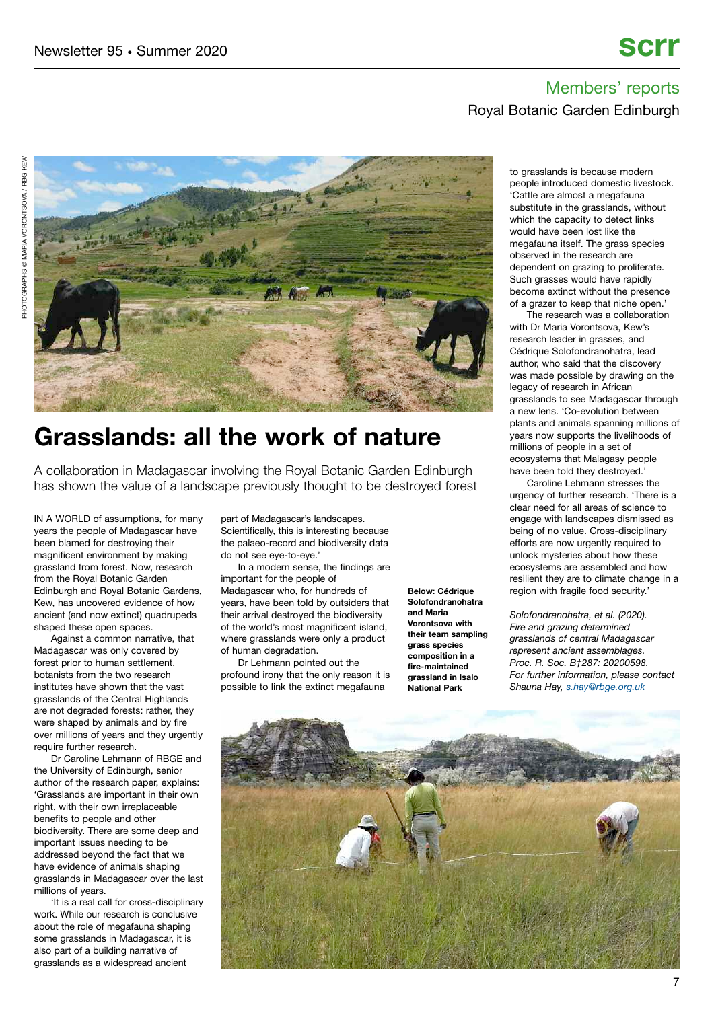### Members' reports Royal Botanic Garden Edinburgh



# **Grasslands: all the work of nature**

A collaboration in Madagascar involving the Royal Botanic Garden Edinburgh has shown the value of a landscape previously thought to be destroyed forest

IN A WORLD of assumptions, for many years the people of Madagascar have been blamed for destroying their magnificent environment by making grassland from forest. Now, research from the Royal Botanic Garden Edinburgh and Royal Botanic Gardens, Kew, has uncovered evidence of how ancient (and now extinct) quadrupeds shaped these open spaces.

Against a common narrative, that Madagascar was only covered by forest prior to human settlement, botanists from the two research institutes have shown that the vast grasslands of the Central Highlands are not degraded forests: rather, they were shaped by animals and by fire over millions of years and they urgently require further research.

Dr Caroline Lehmann of RBGE and the University of Edinburgh, senior author of the research paper, explains: 'Grasslands are important in their own right, with their own irreplaceable benefits to people and other biodiversity. There are some deep and important issues needing to be addressed beyond the fact that we have evidence of animals shaping grasslands in Madagascar over the last millions of years.

'It is a real call for cross-disciplinary work. While our research is conclusive about the role of megafauna shaping some grasslands in Madagascar, it is also part of a building narrative of grasslands as a widespread ancient

part of Madagascar's landscapes. Scientifically, this is interesting because the palaeo-record and biodiversity data do not see eye-to-eye.'

In a modern sense, the findings are important for the people of Madagascar who, for hundreds of years, have been told by outsiders that their arrival destroyed the biodiversity of the world's most magnificent island, where grasslands were only a product of human degradation.

Dr Lehmann pointed out the profound irony that the only reason it is possible to link the extinct megafauna

**Below: Cédrique Solofondranohatra and Maria Vorontsova with their team sampling grass species composition in a fire-maintained grassland in Isalo National Park**

to grasslands is because modern people introduced domestic livestock. 'Cattle are almost a megafauna substitute in the grasslands, without which the capacity to detect links would have been lost like the megafauna itself. The grass species observed in the research are dependent on grazing to proliferate. Such grasses would have rapidly become extinct without the presence of a grazer to keep that niche open.'

The research was a collaboration with Dr Maria Vorontsova, Kew's research leader in grasses, and Cédrique Solofondranohatra, lead author, who said that the discovery was made possible by drawing on the legacy of research in African grasslands to see Madagascar through a new lens. 'Co-evolution between plants and animals spanning millions of years now supports the livelihoods of millions of people in a set of ecosystems that Malagasy people have been told they destroyed.'

Caroline Lehmann stresses the urgency of further research. 'There is a clear need for all areas of science to engage with landscapes dismissed as being of no value. Cross-disciplinary efforts are now urgently required to unlock mysteries about how these ecosystems are assembled and how resilient they are to climate change in a region with fragile food security.'

*Solofondranohatra, et al. (2020). Fire and grazing determined grasslands of central Madagascar represent ancient assemblages. Proc. R. Soc. B†287: 20200598. For further information, please contact Shauna Hay, [s.hay@rbge.org.uk](mailto:s.hay@rbge.org.uk)*

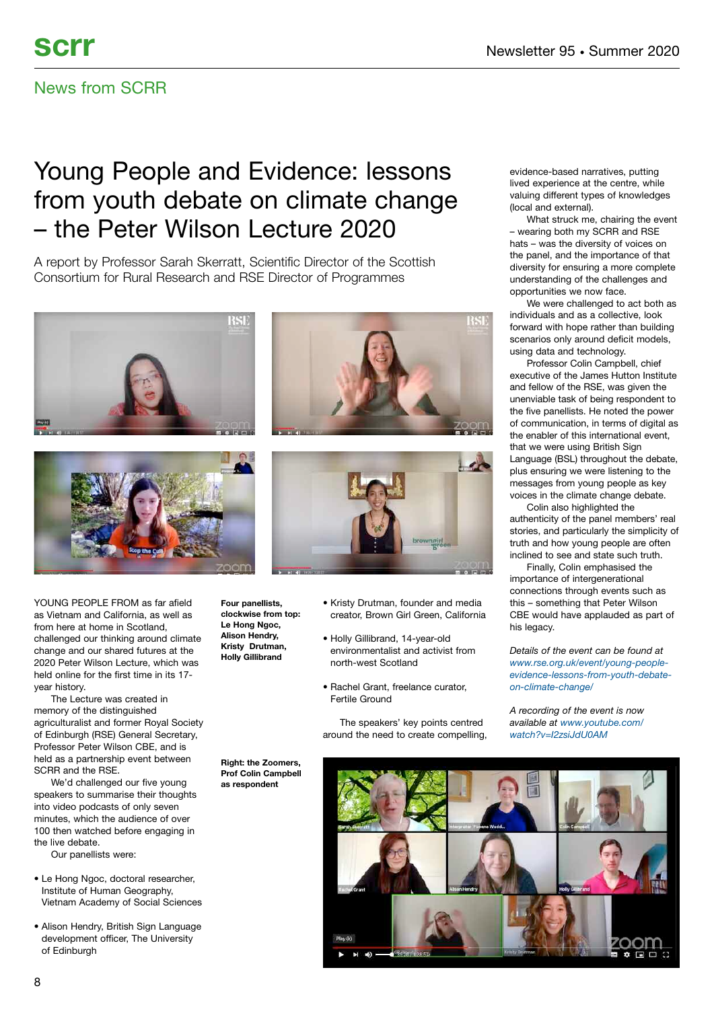### News from SCRR

# Young People and Evidence: lessons from youth debate on climate change – the Peter Wilson Lecture 2020

A report by Professor Sarah Skerratt, Scientific Director of the Scottish Consortium for Rural Research and RSE Director of Programmes





YOUNG PEOPLE FROM as far afield as Vietnam and California, as well as from here at home in Scotland, challenged our thinking around climate change and our shared futures at the 2020 Peter Wilson Lecture, which was held online for the first time in its 17 year history.

The Lecture was created in memory of the distinguished agriculturalist and former Royal Society of Edinburgh (RSE) General Secretary, Professor Peter Wilson CBE, and is held as a partnership event between SCRR and the RSE.

We'd challenged our five young speakers to summarise their thoughts into video podcasts of only seven minutes, which the audience of over 100 then watched before engaging in the live debate.

Our panellists were:

- Le Hong Ngoc, doctoral researcher, Institute of Human Geography, Vietnam Academy of Social Sciences
- Alison Hendry, British Sign Language development officer, The University of Edinburgh





• Kristy Drutman, founder and media creator, Brown Girl Green, California **Four panellists, clockwise from top: Le Hong Ngoc, Alison Hendry,**

**Kristy Drutman, Holly Gillibrand**

**as respondent**

- Holly Gillibrand, 14-year-old environmentalist and activist from north-west Scotland
- Rachel Grant, freelance curator, Fertile Ground

The speakers' key points centred around the need to create compelling, evidence-based narratives, putting lived experience at the centre, while valuing different types of knowledges (local and external).

What struck me, chairing the event – wearing both my SCRR and RSE hats – was the diversity of voices on the panel, and the importance of that diversity for ensuring a more complete understanding of the challenges and opportunities we now face.

We were challenged to act both as individuals and as a collective, look forward with hope rather than building scenarios only around deficit models, using data and technology.

Professor Colin Campbell, chief executive of the James Hutton Institute and fellow of the RSE, was given the unenviable task of being respondent to the five panellists. He noted the power of communication, in terms of digital as the enabler of this international event that we were using British Sign Language (BSL) throughout the debate, plus ensuring we were listening to the messages from young people as key voices in the climate change debate.

Colin also highlighted the authenticity of the panel members' real stories, and particularly the simplicity of truth and how young people are often inclined to see and state such truth.

Finally, Colin emphasised the importance of intergenerational connections through events such as this – something that Peter Wilson CBE would have applauded as part of his legacy.

*Details of the event can be found at [www.rse.org.uk/event/young-people](https://www.rse.org.uk/event/young-people-evidence-lessons-from-youth-debate-on-climate-change/)[evidence-lessons-from-youth-debate](https://www.rse.org.uk/event/young-people-evidence-lessons-from-youth-debate-on-climate-change/)[on-climate-change/](https://www.rse.org.uk/event/young-people-evidence-lessons-from-youth-debate-on-climate-change/)*

*A recording of the event is now available at [www.youtube.com/](https://www.youtube.com/watch?v=I2zsiJdU0AM) [watch?v=I2zsiJdU0AM](https://www.youtube.com/watch?v=I2zsiJdU0AM)*